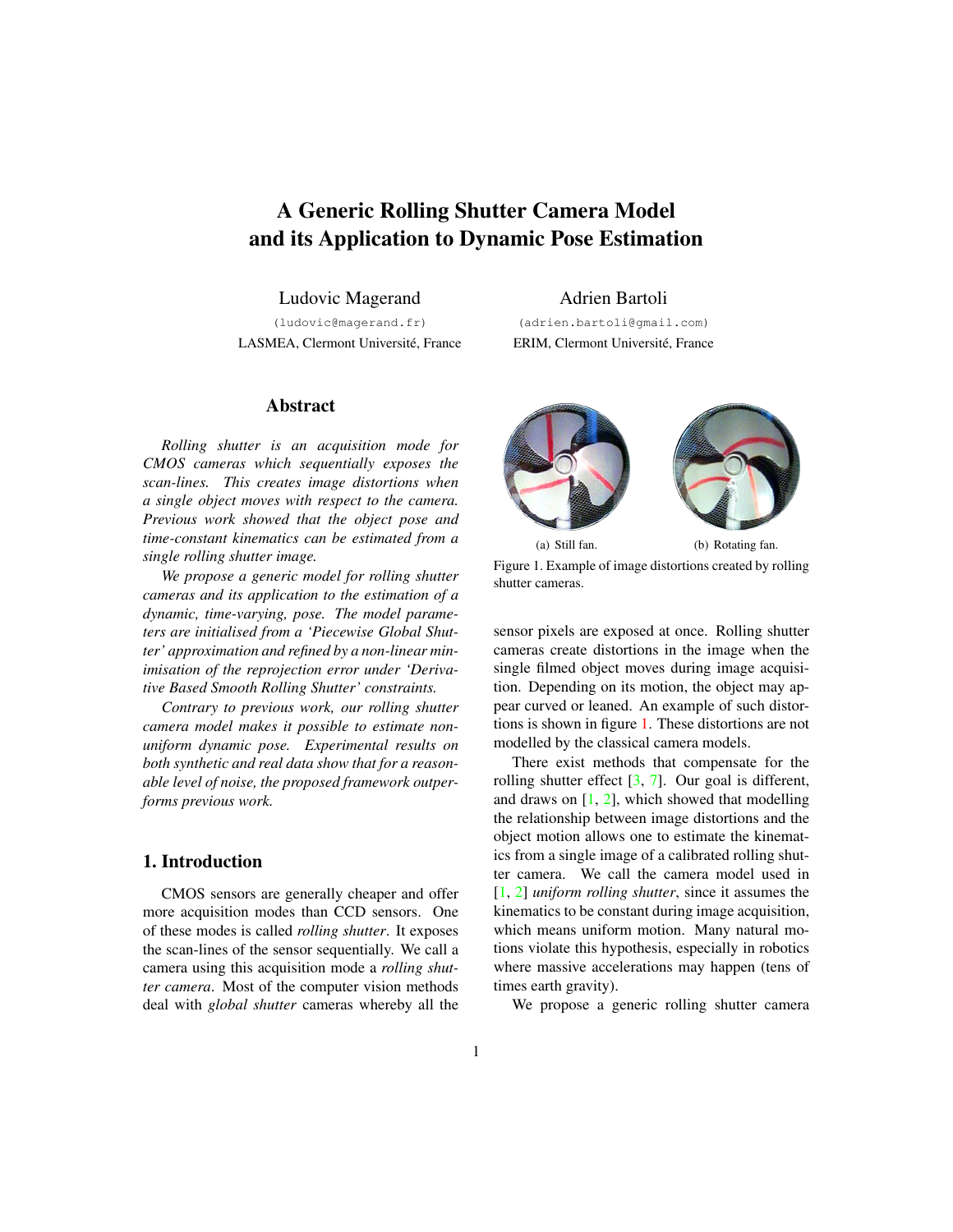# <span id="page-0-1"></span>A Generic Rolling Shutter Camera Model and its Application to Dynamic Pose Estimation

Ludovic Magerand

(ludovic@magerand.fr) LASMEA, Clermont Université, France

Adrien Bartoli (adrien.bartoli@gmail.com)

ERIM, Clermont Université, France

<span id="page-0-0"></span>(a) Still fan. (b) Rotating fan. Figure 1. Example of image distortions created by rolling shutter cameras.

sensor pixels are exposed at once. Rolling shutter cameras create distortions in the image when the single filmed object moves during image acquisition. Depending on its motion, the object may appear curved or leaned. An example of such distortions is shown in figure [1.](#page-0-0) These distortions are not modelled by the classical camera models.

There exist methods that compensate for the rolling shutter effect [\[3,](#page-7-0) [7\]](#page-7-1). Our goal is different, and draws on  $[1, 2]$  $[1, 2]$  $[1, 2]$ , which showed that modelling the relationship between image distortions and the object motion allows one to estimate the kinematics from a single image of a calibrated rolling shutter camera. We call the camera model used in [\[1,](#page-7-2) [2\]](#page-7-3) *uniform rolling shutter*, since it assumes the kinematics to be constant during image acquisition, which means uniform motion. Many natural motions violate this hypothesis, especially in robotics where massive accelerations may happen (tens of times earth gravity).

We propose a generic rolling shutter camera

#### Abstract

*Rolling shutter is an acquisition mode for CMOS cameras which sequentially exposes the scan-lines. This creates image distortions when a single object moves with respect to the camera. Previous work showed that the object pose and time-constant kinematics can be estimated from a single rolling shutter image.*

*We propose a generic model for rolling shutter cameras and its application to the estimation of a dynamic, time-varying, pose. The model parameters are initialised from a 'Piecewise Global Shutter' approximation and refined by a non-linear minimisation of the reprojection error under 'Derivative Based Smooth Rolling Shutter' constraints.*

*Contrary to previous work, our rolling shutter camera model makes it possible to estimate nonuniform dynamic pose. Experimental results on both synthetic and real data show that for a reasonable level of noise, the proposed framework outperforms previous work.*

# 1. Introduction

CMOS sensors are generally cheaper and offer more acquisition modes than CCD sensors. One of these modes is called *rolling shutter*. It exposes the scan-lines of the sensor sequentially. We call a camera using this acquisition mode a *rolling shutter camera*. Most of the computer vision methods deal with *global shutter* cameras whereby all the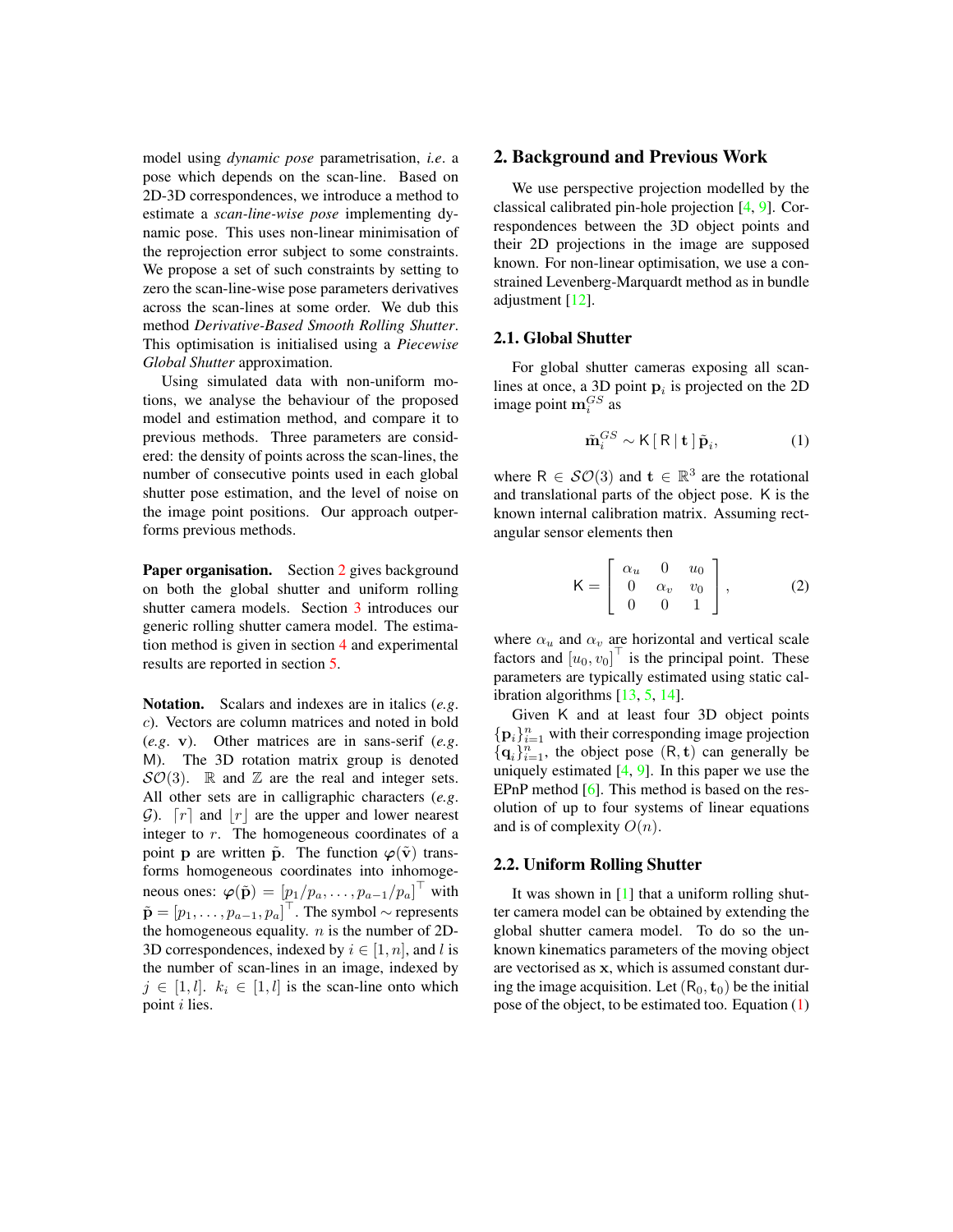<span id="page-1-3"></span>model using *dynamic pose* parametrisation, *i.e*. a pose which depends on the scan-line. Based on 2D-3D correspondences, we introduce a method to estimate a *scan-line-wise pose* implementing dynamic pose. This uses non-linear minimisation of the reprojection error subject to some constraints. We propose a set of such constraints by setting to zero the scan-line-wise pose parameters derivatives across the scan-lines at some order. We dub this method *Derivative-Based Smooth Rolling Shutter*. This optimisation is initialised using a *Piecewise Global Shutter* approximation.

Using simulated data with non-uniform motions, we analyse the behaviour of the proposed model and estimation method, and compare it to previous methods. Three parameters are considered: the density of points across the scan-lines, the number of consecutive points used in each global shutter pose estimation, and the level of noise on the image point positions. Our approach outperforms previous methods.

Paper organisation. Section [2](#page-1-0) gives background on both the global shutter and uniform rolling shutter camera models. Section [3](#page-2-0) introduces our generic rolling shutter camera model. The estimation method is given in section [4](#page-3-0) and experimental results are reported in section [5.](#page-4-0)

Notation. Scalars and indexes are in italics (*e.g*. c). Vectors are column matrices and noted in bold (*e.g*. v). Other matrices are in sans-serif (*e.g*. M). The 3D rotation matrix group is denoted  $SO(3)$ . R and Z are the real and integer sets. All other sets are in calligraphic characters (*e.g*. G).  $[r]$  and  $|r|$  are the upper and lower nearest integer to r. The homogeneous coordinates of a point p are written  $\tilde{p}$ . The function  $\varphi(\tilde{v})$  transforms homogeneous coordinates into inhomogeneous ones:  $\boldsymbol{\varphi}(\tilde{\mathbf{p}}) = \left[p_1/p_a, \ldots, p_{a-1}/p_a\right]^{\top}$  with  $\tilde{\mathbf{p}} = [p_1, \dots, p_{a-1}, p_a]^\top$ . The symbol  $\sim$  represents the homogeneous equality.  $n$  is the number of 2D-3D correspondences, indexed by  $i \in [1, n]$ , and l is the number of scan-lines in an image, indexed by  $j \in [1, l]$ .  $k_i \in [1, l]$  is the scan-line onto which point i lies.

# <span id="page-1-0"></span>2. Background and Previous Work

We use perspective projection modelled by the classical calibrated pin-hole projection [\[4,](#page-7-4) [9\]](#page-7-5). Correspondences between the 3D object points and their 2D projections in the image are supposed known. For non-linear optimisation, we use a constrained Levenberg-Marquardt method as in bundle adjustment [\[12\]](#page-7-6).

#### 2.1. Global Shutter

For global shutter cameras exposing all scanlines at once, a 3D point  $\mathbf{p}_i$  is projected on the 2D image point  $\mathbf{m}_i^{GS}$  as

<span id="page-1-1"></span>
$$
\tilde{\mathbf{m}}_i^{GS} \sim \mathsf{K}\left[\left.\mathsf{R}\right|\mathbf{t}\left.\right]\tilde{\mathbf{p}}_i,\tag{1}
$$

where  $R \in \mathcal{SO}(3)$  and  $\mathbf{t} \in \mathbb{R}^3$  are the rotational and translational parts of the object pose. K is the known internal calibration matrix. Assuming rectangular sensor elements then

$$
\mathsf{K} = \left[ \begin{array}{ccc} \alpha_u & 0 & u_0 \\ 0 & \alpha_v & v_0 \\ 0 & 0 & 1 \end{array} \right],\tag{2}
$$

where  $\alpha_u$  and  $\alpha_v$  are horizontal and vertical scale factors and  $[u_0, v_0]^\top$  is the principal point. These parameters are typically estimated using static calibration algorithms [\[13,](#page-7-7) [5,](#page-7-8) [14\]](#page-7-9).

Given K and at least four 3D object points  $\{p_i\}_{i=1}^n$  with their corresponding image projection  ${q_i}_{i=1}^n$ , the object pose  $(R, t)$  can generally be uniquely estimated  $[4, 9]$  $[4, 9]$  $[4, 9]$ . In this paper we use the EPnP method [\[6\]](#page-7-10). This method is based on the resolution of up to four systems of linear equations and is of complexity  $O(n)$ .

# <span id="page-1-2"></span>2.2. Uniform Rolling Shutter

It was shown in [\[1\]](#page-7-2) that a uniform rolling shutter camera model can be obtained by extending the global shutter camera model. To do so the unknown kinematics parameters of the moving object are vectorised as x, which is assumed constant during the image acquisition. Let  $(R_0, t_0)$  be the initial pose of the object, to be estimated too. Equation [\(1\)](#page-1-1)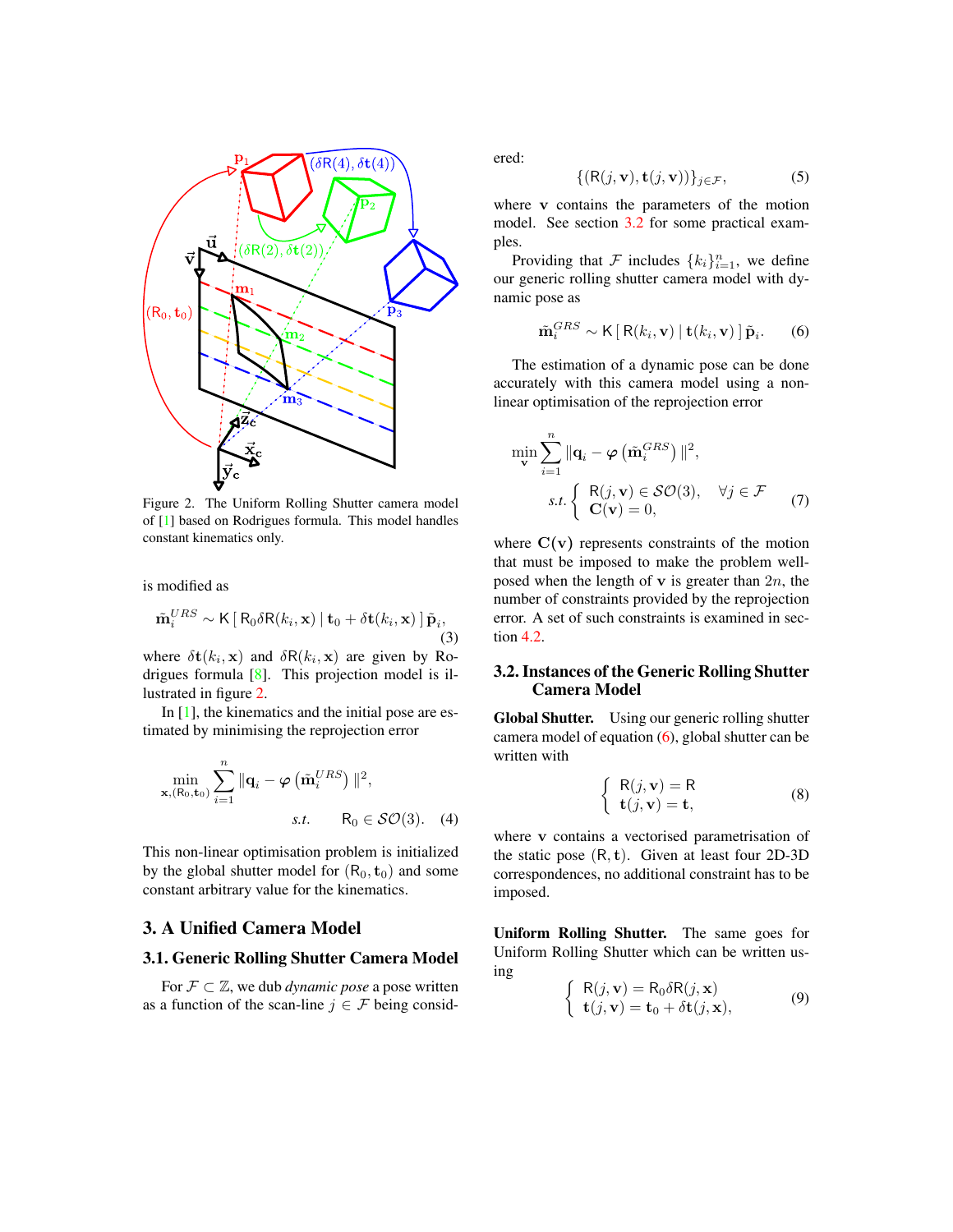<span id="page-2-5"></span>

<span id="page-2-1"></span>Figure 2. The Uniform Rolling Shutter camera model of [\[1\]](#page-7-2) based on Rodrigues formula. This model handles constant kinematics only.

is modified as

$$
\tilde{\mathbf{m}}_i^{URS} \sim \mathsf{K}\left[\mathsf{R}_0 \delta \mathsf{R}(k_i, \mathbf{x}) \mid \mathbf{t}_0 + \delta \mathbf{t}(k_i, \mathbf{x})\right] \tilde{\mathbf{p}}_i,\tag{3}
$$

where  $\delta \mathbf{t}(k_i, \mathbf{x})$  and  $\delta R(k_i, \mathbf{x})$  are given by Rodrigues formula [\[8\]](#page-7-11). This projection model is illustrated in figure [2.](#page-2-1)

In  $[1]$ , the kinematics and the initial pose are estimated by minimising the reprojection error

$$
\min_{\mathbf{x}, (\mathsf{R}_0, \mathbf{t}_0)} \sum_{i=1}^n \|\mathbf{q}_i - \varphi\left(\tilde{\mathbf{m}}_i^{URS}\right)\|^2,
$$
\n*s.t.*  $\mathsf{R}_0 \in \mathcal{SO}(3)$ . (4)

This non-linear optimisation problem is initialized by the global shutter model for  $(R_0, t_0)$  and some constant arbitrary value for the kinematics.

# <span id="page-2-0"></span>3. A Unified Camera Model

# 3.1. Generic Rolling Shutter Camera Model

For  $\mathcal{F} \subset \mathbb{Z}$ , we dub *dynamic pose* a pose written as a function of the scan-line  $j \in \mathcal{F}$  being considered:

$$
\{(\mathsf{R}(j,\mathbf{v}),\mathbf{t}(j,\mathbf{v}))\}_{j\in\mathcal{F}},\tag{5}
$$

where v contains the parameters of the motion model. See section [3.2](#page-2-2) for some practical examples.

Providing that F includes  ${k_i}_{i=1}^n$ , we define our generic rolling shutter camera model with dynamic pose as

<span id="page-2-3"></span>
$$
\tilde{\mathbf{m}}_i^{GRS} \sim \mathsf{K}\left[\,\mathsf{R}(k_i, \mathbf{v})\,\right] \mathbf{t}(k_i, \mathbf{v})\,\right] \tilde{\mathbf{p}}_i. \qquad (6)
$$

The estimation of a dynamic pose can be done accurately with this camera model using a nonlinear optimisation of the reprojection error

<span id="page-2-4"></span>
$$
\min_{\mathbf{v}} \sum_{i=1}^{n} \|\mathbf{q}_{i} - \varphi\left(\tilde{\mathbf{m}}_{i}^{GRS}\right)\|^{2},
$$
\n
$$
s.t. \begin{cases} R(j, \mathbf{v}) \in \mathcal{SO}(3), & \forall j \in \mathcal{F} \\ \mathbf{C}(\mathbf{v}) = 0, \end{cases} (7)
$$

where  $C(v)$  represents constraints of the motion that must be imposed to make the problem wellposed when the length of  $\bf{v}$  is greater than  $2n$ , the number of constraints provided by the reprojection error. A set of such constraints is examined in section [4.2.](#page-4-1)

# <span id="page-2-2"></span>3.2. Instances of the Generic Rolling Shutter Camera Model

Global Shutter. Using our generic rolling shutter camera model of equation [\(6\)](#page-2-3), global shutter can be written with

$$
\begin{cases} R(j, \mathbf{v}) = R \\ \mathbf{t}(j, \mathbf{v}) = \mathbf{t}, \end{cases}
$$
 (8)

where v contains a vectorised parametrisation of the static pose  $(R, t)$ . Given at least four 2D-3D correspondences, no additional constraint has to be imposed.

Uniform Rolling Shutter. The same goes for Uniform Rolling Shutter which can be written using

$$
\begin{cases} R(j, \mathbf{v}) = R_0 \delta R(j, \mathbf{x}) \\ \mathbf{t}(j, \mathbf{v}) = \mathbf{t}_0 + \delta \mathbf{t}(j, \mathbf{x}), \end{cases}
$$
(9)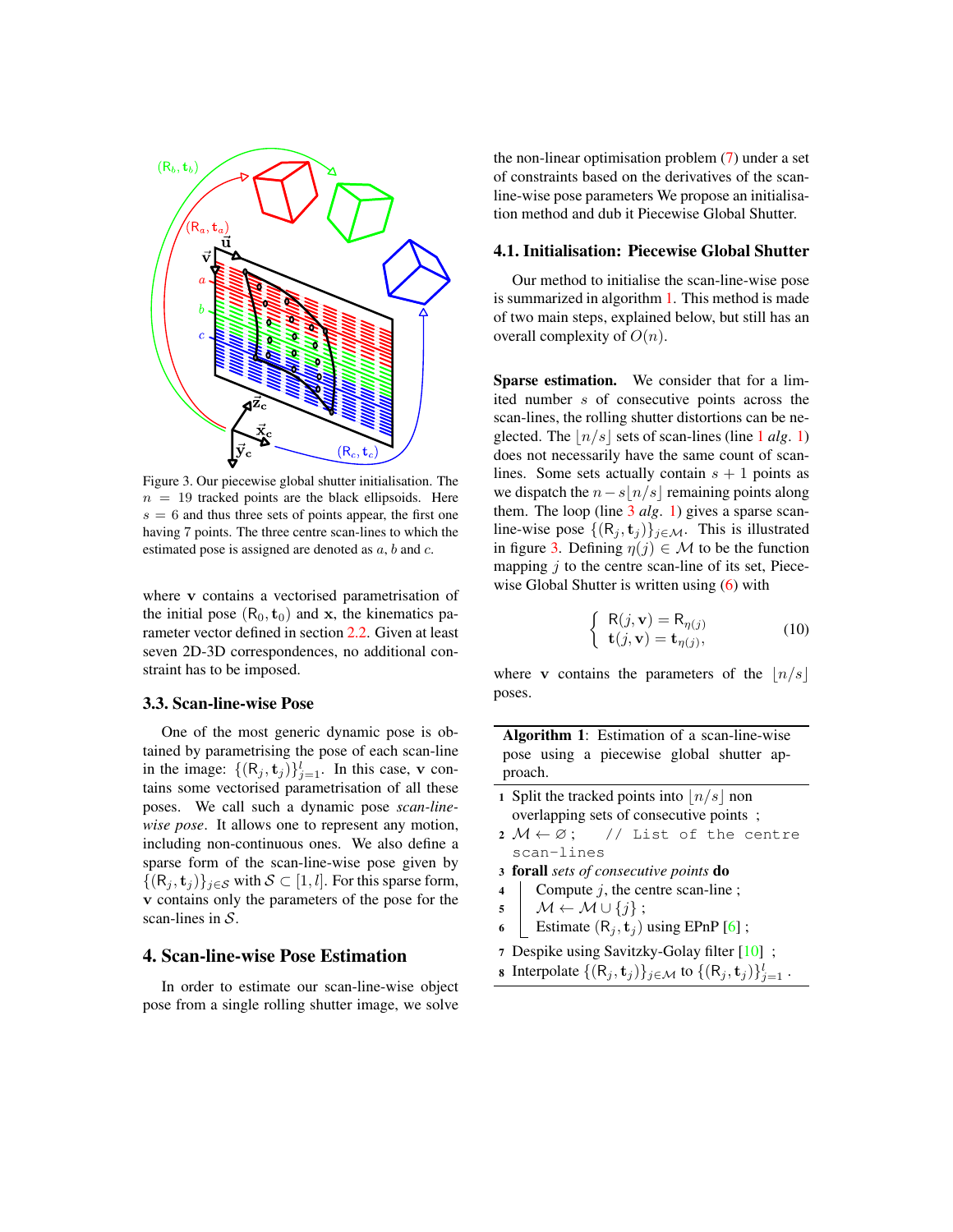<span id="page-3-7"></span>

<span id="page-3-4"></span>Figure 3. Our piecewise global shutter initialisation. The  $n = 19$  tracked points are the black ellipsoids. Here  $s = 6$  and thus three sets of points appear, the first one having 7 points. The three centre scan-lines to which the estimated pose is assigned are denoted as  $a, b$  and  $c$ .

where v contains a vectorised parametrisation of the initial pose  $(R_0, t_0)$  and x, the kinematics parameter vector defined in section [2.2.](#page-1-2) Given at least seven 2D-3D correspondences, no additional constraint has to be imposed.

### 3.3. Scan-line-wise Pose

One of the most generic dynamic pose is obtained by parametrising the pose of each scan-line in the image:  $\{(\mathsf{R}_j, \mathsf{t}_j)\}_{j=1}^l$ . In this case, v contains some vectorised parametrisation of all these poses. We call such a dynamic pose *scan-linewise pose*. It allows one to represent any motion, including non-continuous ones. We also define a sparse form of the scan-line-wise pose given by  $\{(\mathsf{R}_i, \mathbf{t}_j)\}_{j \in \mathcal{S}}$  with  $\mathcal{S} \subset [1, l]$ . For this sparse form, v contains only the parameters of the pose for the scan-lines in  $S$ .

# <span id="page-3-0"></span>4. Scan-line-wise Pose Estimation

In order to estimate our scan-line-wise object pose from a single rolling shutter image, we solve

the non-linear optimisation problem [\(7\)](#page-2-4) under a set of constraints based on the derivatives of the scanline-wise pose parameters We propose an initialisation method and dub it Piecewise Global Shutter.

#### 4.1. Initialisation: Piecewise Global Shutter

Our method to initialise the scan-line-wise pose is summarized in algorithm [1.](#page-3-1) This method is made of two main steps, explained below, but still has an overall complexity of  $O(n)$ .

Sparse estimation. We consider that for a limited number s of consecutive points across the scan-lines, the rolling shutter distortions can be neglected. The  $|n/s|$  sets of scan-lines (line [1](#page-3-2) *alg.* [1\)](#page-3-1) does not necessarily have the same count of scanlines. Some sets actually contain  $s + 1$  points as we dispatch the  $n-s|n/s|$  remaining points along them. The loop (line [3](#page-3-3) *alg*. [1\)](#page-3-1) gives a sparse scanline-wise pose  $\{(\mathsf{R}_j, \mathbf{t}_j)\}_{j \in \mathcal{M}}$ . This is illustrated in figure [3.](#page-3-4) Defining  $\eta(j) \in \mathcal{M}$  to be the function mapping  $j$  to the centre scan-line of its set, Piece-wise Global Shutter is written using [\(6\)](#page-2-3) with

$$
\begin{cases} R(j, \mathbf{v}) = R_{\eta(j)} \\ \mathbf{t}(j, \mathbf{v}) = \mathbf{t}_{\eta(j)}, \end{cases}
$$
 (10)

where v contains the parameters of the  $\lfloor n/s \rfloor$ poses.

<span id="page-3-1"></span>

|         |  | <b>Algorithm 1:</b> Estimation of a scan-line-wise |  |  |
|---------|--|----------------------------------------------------|--|--|
|         |  | pose using a piecewise global shutter ap-          |  |  |
| proach. |  |                                                    |  |  |

- <span id="page-3-2"></span>1 Split the tracked points into  $\lfloor n/s \rfloor$  non overlapping sets of consecutive points ;
- $2 M \leftarrow \emptyset$ ; // List of the centre scan-lines
- <span id="page-3-3"></span><sup>3</sup> forall *sets of consecutive points* do
- 4 Compute  $j$ , the centre scan-line ;
- $\mathfrak{s} \mid \mathcal{M} \leftarrow \mathcal{M} \cup \{j\};$
- 6 | Estimate  $(R_j, t_j)$  using EPnP [\[6\]](#page-7-10);
- <span id="page-3-5"></span><sup>7</sup> Despike using Savitzky-Golay filter [\[10\]](#page-7-12) ;
- <span id="page-3-6"></span>**8** Interpolate  $\{(\mathsf{R}_j, \mathbf{t}_j)\}_{j \in \mathcal{M}}$  to  $\{(\mathsf{R}_j, \mathbf{t}_j)\}_{j=1}^l$ .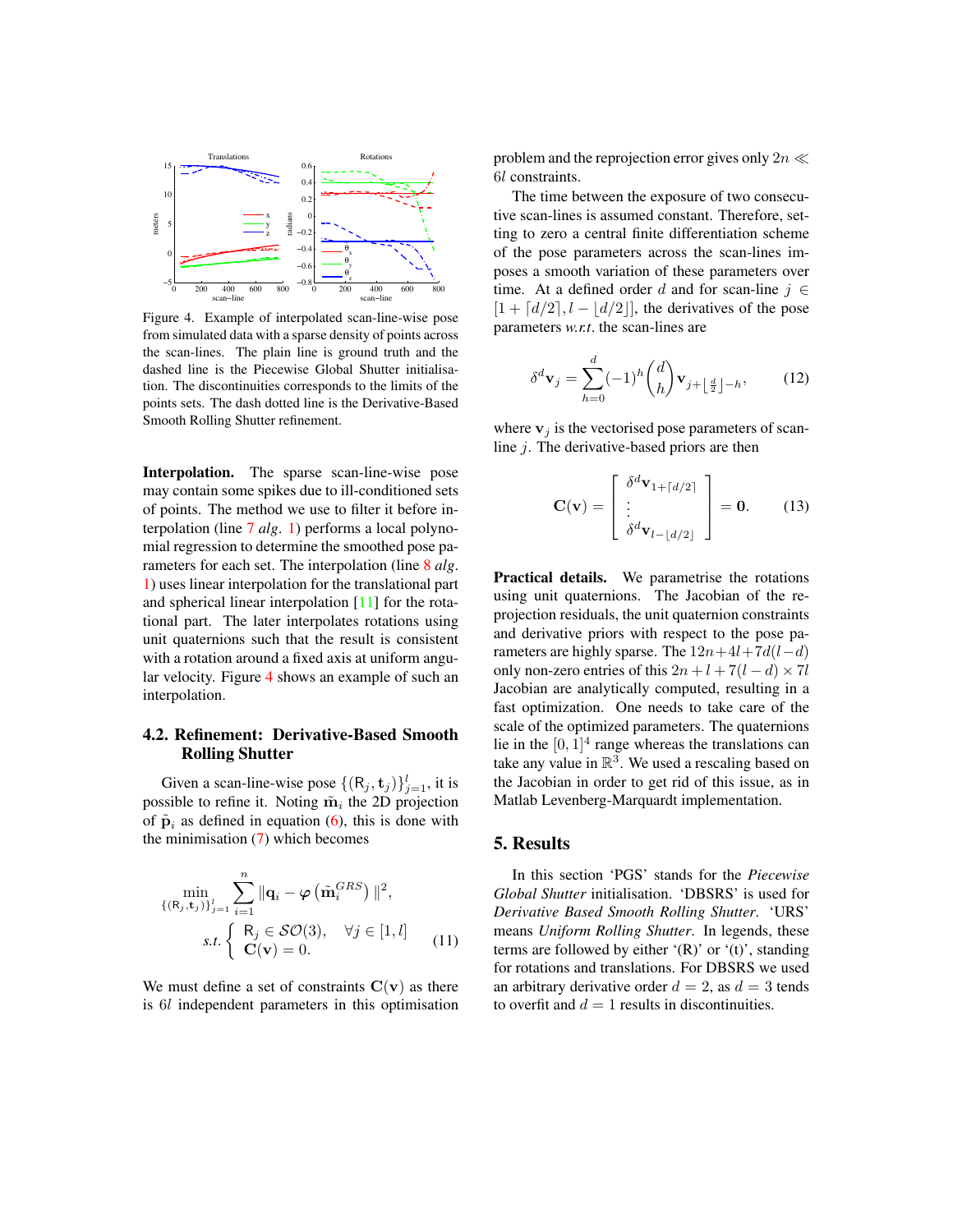<span id="page-4-3"></span>

<span id="page-4-2"></span>Figure 4. Example of interpolated scan-line-wise pose from simulated data with a sparse density of points across the scan-lines. The plain line is ground truth and the dashed line is the Piecewise Global Shutter initialisation. The discontinuities corresponds to the limits of the points sets. The dash dotted line is the Derivative-Based Smooth Rolling Shutter refinement.

Interpolation. The sparse scan-line-wise pose may contain some spikes due to ill-conditioned sets of points. The method we use to filter it before interpolation (line [7](#page-3-5) *alg*. [1\)](#page-3-1) performs a local polynomial regression to determine the smoothed pose parameters for each set. The interpolation (line [8](#page-3-6) *alg*. [1\)](#page-3-1) uses linear interpolation for the translational part and spherical linear interpolation [\[11\]](#page-7-13) for the rotational part. The later interpolates rotations using unit quaternions such that the result is consistent with a rotation around a fixed axis at uniform angular velocity. Figure [4](#page-4-2) shows an example of such an interpolation.

# <span id="page-4-1"></span>4.2. Refinement: Derivative-Based Smooth Rolling Shutter

Given a scan-line-wise pose  $\{(\mathsf{R}_j, \mathbf{t}_j)\}_{j=1}^l$ , it is possible to refine it. Noting  $\tilde{m}_i$  the 2D projection of  $\tilde{\mathbf{p}}_i$  as defined in equation [\(6\)](#page-2-3), this is done with the minimisation  $(7)$  which becomes

$$
\min_{\{(\mathbf{R}_j, \mathbf{t}_j)\}_{j=1}^l} \sum_{i=1}^n \|\mathbf{q}_i - \varphi\left(\tilde{\mathbf{m}}_i^{GRS}\right)\|^2,
$$
\n*s.t.* 
$$
\begin{cases} \mathbf{R}_j \in \mathcal{SO}(3), & \forall j \in [1, l] \\ \mathbf{C}(\mathbf{v}) = 0. \end{cases}
$$
\n(11)

We must define a set of constraints  $C(v)$  as there is 6l independent parameters in this optimisation

problem and the reprojection error gives only  $2n \ll$ 6l constraints.

The time between the exposure of two consecutive scan-lines is assumed constant. Therefore, setting to zero a central finite differentiation scheme of the pose parameters across the scan-lines imposes a smooth variation of these parameters over time. At a defined order d and for scan-line  $j \in$  $[1 + [d/2], l - |d/2|]$ , the derivatives of the pose parameters *w.r.t*. the scan-lines are

$$
\delta^d \mathbf{v}_j = \sum_{h=0}^d (-1)^h \binom{d}{h} \mathbf{v}_{j+\lfloor \frac{d}{2} \rfloor - h},\tag{12}
$$

where  $v_j$  is the vectorised pose parameters of scanline  $i$ . The derivative-based priors are then

$$
\mathbf{C}(\mathbf{v}) = \begin{bmatrix} \delta^d \mathbf{v}_{1+ \lceil d/2 \rceil} \\ \vdots \\ \delta^d \mathbf{v}_{l- \lfloor d/2 \rfloor} \end{bmatrix} = \mathbf{0}.
$$
 (13)

Practical details. We parametrise the rotations using unit quaternions. The Jacobian of the reprojection residuals, the unit quaternion constraints and derivative priors with respect to the pose parameters are highly sparse. The  $12n+4l+7d(l-d)$ only non-zero entries of this  $2n + l + 7(l - d) \times 7l$ Jacobian are analytically computed, resulting in a fast optimization. One needs to take care of the scale of the optimized parameters. The quaternions lie in the  $[0, 1]^4$  range whereas the translations can take any value in  $\mathbb{R}^3$ . We used a rescaling based on the Jacobian in order to get rid of this issue, as in Matlab Levenberg-Marquardt implementation.

### <span id="page-4-0"></span>5. Results

In this section 'PGS' stands for the *Piecewise Global Shutter* initialisation. 'DBSRS' is used for *Derivative Based Smooth Rolling Shutter*. 'URS' means *Uniform Rolling Shutter*. In legends, these terms are followed by either  $'(R)$  or  $'(t)$ , standing for rotations and translations. For DBSRS we used an arbitrary derivative order  $d = 2$ , as  $d = 3$  tends to overfit and  $d = 1$  results in discontinuities.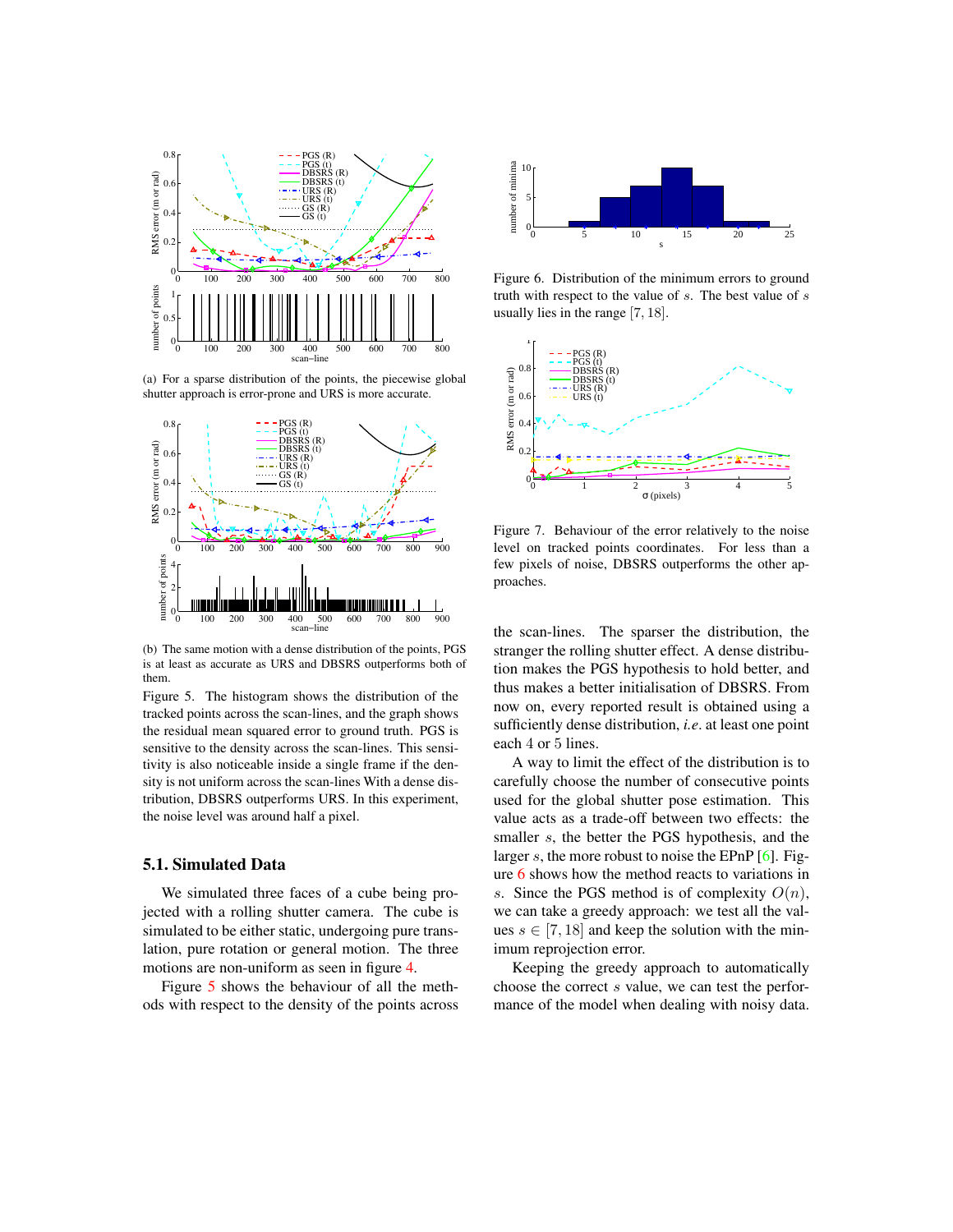<span id="page-5-3"></span>

(a) For a sparse distribution of the points, the piecewise global shutter approach is error-prone and URS is more accurate.



(b) The same motion with a dense distribution of the points, PGS is at least as accurate as URS and DBSRS outperforms both of them.

<span id="page-5-0"></span>Figure 5. The histogram shows the distribution of the tracked points across the scan-lines, and the graph shows the residual mean squared error to ground truth. PGS is sensitive to the density across the scan-lines. This sensitivity is also noticeable inside a single frame if the density is not uniform across the scan-lines With a dense distribution, DBSRS outperforms URS. In this experiment, the noise level was around half a pixel.

# 5.1. Simulated Data

We simulated three faces of a cube being projected with a rolling shutter camera. The cube is simulated to be either static, undergoing pure translation, pure rotation or general motion. The three motions are non-uniform as seen in figure [4.](#page-4-2)

Figure [5](#page-5-0) shows the behaviour of all the methods with respect to the density of the points across



<span id="page-5-1"></span>Figure 6. Distribution of the minimum errors to ground truth with respect to the value of s. The best value of s usually lies in the range [7, 18].



<span id="page-5-2"></span>Figure 7. Behaviour of the error relatively to the noise level on tracked points coordinates. For less than a few pixels of noise, DBSRS outperforms the other approaches.

the scan-lines. The sparser the distribution, the stranger the rolling shutter effect. A dense distribution makes the PGS hypothesis to hold better, and thus makes a better initialisation of DBSRS. From now on, every reported result is obtained using a sufficiently dense distribution, *i.e*. at least one point each 4 or 5 lines.

A way to limit the effect of the distribution is to carefully choose the number of consecutive points used for the global shutter pose estimation. This value acts as a trade-off between two effects: the smaller s, the better the PGS hypothesis, and the larger  $s$ , the more robust to noise the EPnP  $[6]$ . Figure [6](#page-5-1) shows how the method reacts to variations in s. Since the PGS method is of complexity  $O(n)$ , we can take a greedy approach: we test all the values  $s \in [7, 18]$  and keep the solution with the minimum reprojection error.

Keeping the greedy approach to automatically choose the correct s value, we can test the performance of the model when dealing with noisy data.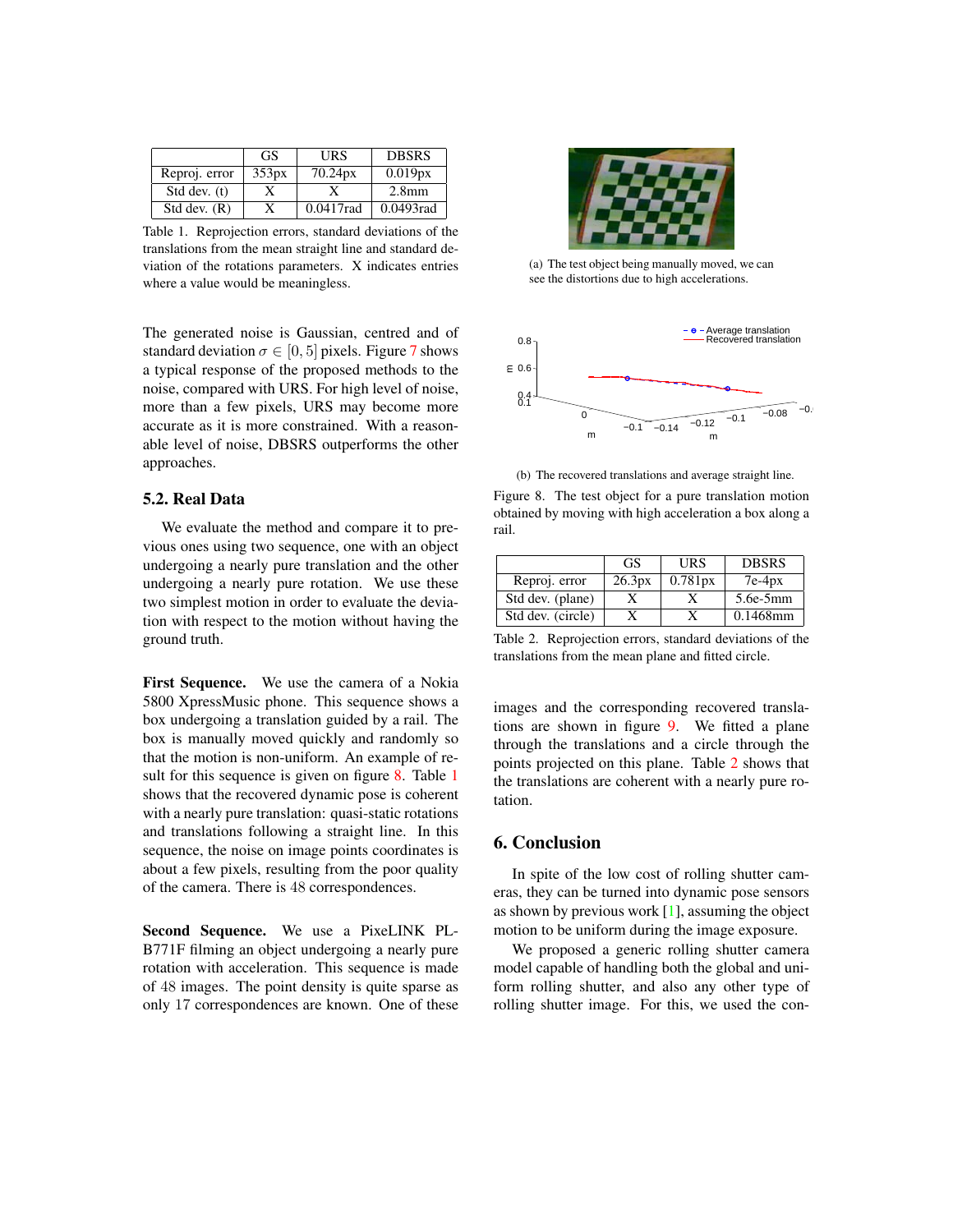<span id="page-6-3"></span>

|                | GS.   | URS       | <b>DBSRS</b>      |
|----------------|-------|-----------|-------------------|
| Reproj. error  | 353px | 70.24px   | 0.019px           |
| Std dev. (t)   |       |           | 2.8 <sub>mm</sub> |
| Std dev. $(R)$ |       | 0.0417rad | 0.0493rad         |

<span id="page-6-1"></span>Table 1. Reprojection errors, standard deviations of the translations from the mean straight line and standard deviation of the rotations parameters. X indicates entries where a value would be meaningless.

The generated noise is Gaussian, centred and of standard deviation  $\sigma \in [0, 5]$  pixels. Figure [7](#page-5-2) shows a typical response of the proposed methods to the noise, compared with URS. For high level of noise, more than a few pixels, URS may become more accurate as it is more constrained. With a reasonable level of noise, DBSRS outperforms the other approaches.

#### 5.2. Real Data

We evaluate the method and compare it to previous ones using two sequence, one with an object undergoing a nearly pure translation and the other undergoing a nearly pure rotation. We use these two simplest motion in order to evaluate the deviation with respect to the motion without having the ground truth.

First Sequence. We use the camera of a Nokia 5800 XpressMusic phone. This sequence shows a box undergoing a translation guided by a rail. The box is manually moved quickly and randomly so that the motion is non-uniform. An example of re-sult for this sequence is given on figure [8.](#page-6-0) Table [1](#page-6-1) shows that the recovered dynamic pose is coherent with a nearly pure translation: quasi-static rotations and translations following a straight line. In this sequence, the noise on image points coordinates is about a few pixels, resulting from the poor quality of the camera. There is 48 correspondences.

Second Sequence. We use a PixeLINK PL-B771F filming an object undergoing a nearly pure rotation with acceleration. This sequence is made of 48 images. The point density is quite sparse as only 17 correspondences are known. One of these



(a) The test object being manually moved, we can see the distortions due to high accelerations.



<span id="page-6-0"></span>(b) The recovered translations and average straight line.

Figure 8. The test object for a pure translation motion obtained by moving with high acceleration a box along a rail.

|                   | GS.    | URS     | <b>DBSRS</b> |
|-------------------|--------|---------|--------------|
| Reproj. error     | 26.3px | 0.781px | $7e-4px$     |
| Std dev. (plane)  |        |         | $5.6e-5mm$   |
| Std dev. (circle) |        |         | $0.1468$ mm  |

<span id="page-6-2"></span>Table 2. Reprojection errors, standard deviations of the translations from the mean plane and fitted circle.

images and the corresponding recovered translations are shown in figure [9.](#page-7-14) We fitted a plane through the translations and a circle through the points projected on this plane. Table [2](#page-6-2) shows that the translations are coherent with a nearly pure rotation.

# 6. Conclusion

In spite of the low cost of rolling shutter cameras, they can be turned into dynamic pose sensors as shown by previous work  $[1]$ , assuming the object motion to be uniform during the image exposure.

We proposed a generic rolling shutter camera model capable of handling both the global and uniform rolling shutter, and also any other type of rolling shutter image. For this, we used the con-